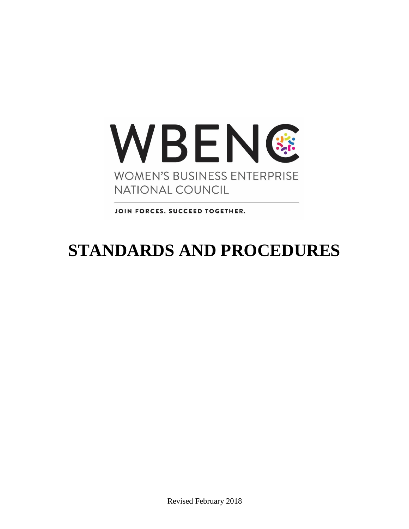

JOIN FORCES. SUCCEED TOGETHER.

# **STANDARDS AND PROCEDURES**

Revised February 2018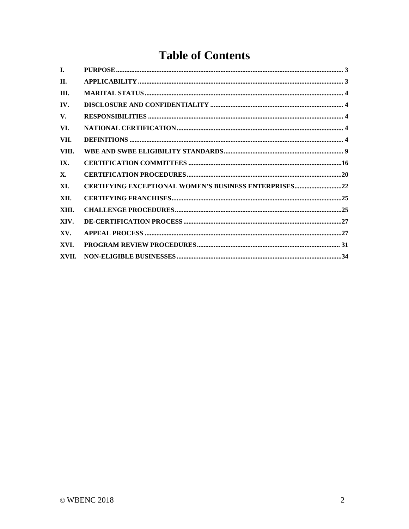# **Table of Contents**

| L.    |                                                              |
|-------|--------------------------------------------------------------|
| II.   |                                                              |
| III.  |                                                              |
| IV.   |                                                              |
| V.    |                                                              |
| VI.   |                                                              |
| VII.  |                                                              |
| VIII. |                                                              |
| IX.   |                                                              |
| X.    |                                                              |
| XI.   | <b>CERTIFYING EXCEPTIONAL WOMEN'S BUSINESS ENTERPRISES22</b> |
| XII.  |                                                              |
| XIII. |                                                              |
| XIV.  |                                                              |
| XV.   |                                                              |
| XVI.  |                                                              |
| XVII. |                                                              |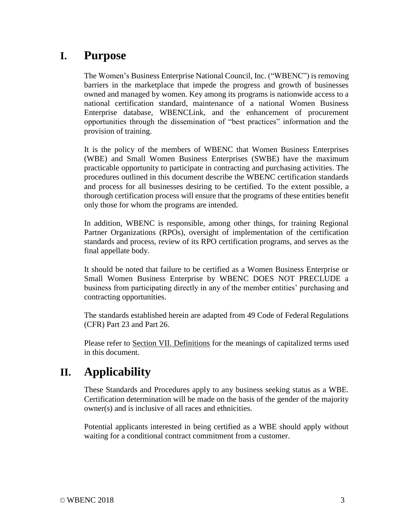### **I. Purpose**

The Women's Business Enterprise National Council, Inc. ("WBENC") is removing barriers in the marketplace that impede the progress and growth of businesses owned and managed by women. Key among its programs is nationwide access to a national certification standard, maintenance of a national Women Business Enterprise database, WBENCLink, and the enhancement of procurement opportunities through the dissemination of "best practices" information and the provision of training.

It is the policy of the members of WBENC that Women Business Enterprises (WBE) and Small Women Business Enterprises (SWBE) have the maximum practicable opportunity to participate in contracting and purchasing activities. The procedures outlined in this document describe the WBENC certification standards and process for all businesses desiring to be certified. To the extent possible, a thorough certification process will ensure that the programs of these entities benefit only those for whom the programs are intended.

In addition, WBENC is responsible, among other things, for training Regional Partner Organizations (RPOs), oversight of implementation of the certification standards and process, review of its RPO certification programs, and serves as the final appellate body.

It should be noted that failure to be certified as a Women Business Enterprise or Small Women Business Enterprise by WBENC DOES NOT PRECLUDE a business from participating directly in any of the member entities' purchasing and contracting opportunities.

The standards established herein are adapted from 49 Code of Federal Regulations (CFR) Part 23 and Part 26.

Please refer to Section VII. Definitions for the meanings of capitalized terms used in this document.

### **II. Applicability**

These Standards and Procedures apply to any business seeking status as a WBE. Certification determination will be made on the basis of the gender of the majority owner(s) and is inclusive of all races and ethnicities.

Potential applicants interested in being certified as a WBE should apply without waiting for a conditional contract commitment from a customer.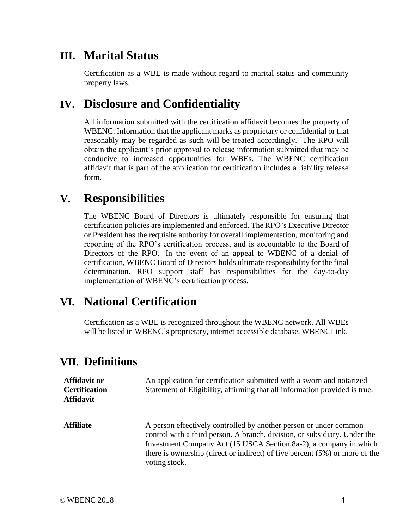### **III. Marital Status**

Certification as a WBE is made without regard to marital status and community property laws.

### **IV. Disclosure and Confidentiality**

All information submitted with the certification affidavit becomes the property of WBENC. Information that the applicant marks as proprietary or confidential or that reasonably may be regarded as such will be treated accordingly. The RPO will obtain the applicant's prior approval to release information submitted that may be conducive to increased opportunities for WBEs. The WBENC certification affidavit that is part of the application for certification includes a liability release form.

### **V. Responsibilities**

The WBENC Board of Directors is ultimately responsible for ensuring that certification policies are implemented and enforced. The RPO's Executive Director or President has the requisite authority for overall implementation, monitoring and reporting of the RPO's certification process, and is accountable to the Board of Directors of the RPO. In the event of an appeal to WBENC of a denial of certification, WBENC Board of Directors holds ultimate responsibility for the final determination. RPO support staff has responsibilities for the day-to-day implementation of WBENC's certification process.

### **VI. National Certification**

Certification as a WBE is recognized throughout the WBENC network. All WBEs will be listed in WBENC's proprietary, internet accessible database, WBENCLink.

### **VII. Definitions**

| <b>Affidavit or</b><br><b>Certification</b><br><b>Affidavit</b> | An application for certification submitted with a sworn and notarized<br>Statement of Eligibility, affirming that all information provided is true.                                                                                                                                                                    |
|-----------------------------------------------------------------|------------------------------------------------------------------------------------------------------------------------------------------------------------------------------------------------------------------------------------------------------------------------------------------------------------------------|
| <b>Affiliate</b>                                                | A person effectively controlled by another person or under common<br>control with a third person. A branch, division, or subsidiary. Under the<br>Investment Company Act (15 USCA Section 8a-2), a company in which<br>there is ownership (direct or indirect) of five percent $(5\%)$ or more of the<br>voting stock. |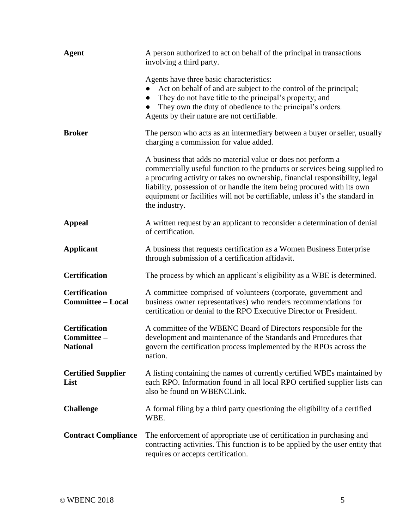| <b>Agent</b>                                           | A person authorized to act on behalf of the principal in transactions<br>involving a third party.                                                                                                                                                                                                                                                                                                     |
|--------------------------------------------------------|-------------------------------------------------------------------------------------------------------------------------------------------------------------------------------------------------------------------------------------------------------------------------------------------------------------------------------------------------------------------------------------------------------|
|                                                        | Agents have three basic characteristics:<br>Act on behalf of and are subject to the control of the principal;<br>They do not have title to the principal's property; and<br>They own the duty of obedience to the principal's orders.<br>Agents by their nature are not certifiable.                                                                                                                  |
| <b>Broker</b>                                          | The person who acts as an intermediary between a buyer or seller, usually<br>charging a commission for value added.                                                                                                                                                                                                                                                                                   |
|                                                        | A business that adds no material value or does not perform a<br>commercially useful function to the products or services being supplied to<br>a procuring activity or takes no ownership, financial responsibility, legal<br>liability, possession of or handle the item being procured with its own<br>equipment or facilities will not be certifiable, unless it's the standard in<br>the industry. |
| <b>Appeal</b>                                          | A written request by an applicant to reconsider a determination of denial<br>of certification.                                                                                                                                                                                                                                                                                                        |
| <b>Applicant</b>                                       | A business that requests certification as a Women Business Enterprise<br>through submission of a certification affidavit.                                                                                                                                                                                                                                                                             |
| <b>Certification</b>                                   | The process by which an applicant's eligibility as a WBE is determined.                                                                                                                                                                                                                                                                                                                               |
| <b>Certification</b><br><b>Committee - Local</b>       | A committee comprised of volunteers (corporate, government and<br>business owner representatives) who renders recommendations for<br>certification or denial to the RPO Executive Director or President.                                                                                                                                                                                              |
| <b>Certification</b><br>Committee -<br><b>National</b> | A committee of the WBENC Board of Directors responsible for the<br>development and maintenance of the Standards and Procedures that<br>govern the certification process implemented by the RPOs across the<br>nation.                                                                                                                                                                                 |
| <b>Certified Supplier</b><br>List                      | A listing containing the names of currently certified WBEs maintained by<br>each RPO. Information found in all local RPO certified supplier lists can<br>also be found on WBENCLink.                                                                                                                                                                                                                  |
| <b>Challenge</b>                                       | A formal filing by a third party questioning the eligibility of a certified<br>WBE.                                                                                                                                                                                                                                                                                                                   |
| <b>Contract Compliance</b>                             | The enforcement of appropriate use of certification in purchasing and<br>contracting activities. This function is to be applied by the user entity that<br>requires or accepts certification.                                                                                                                                                                                                         |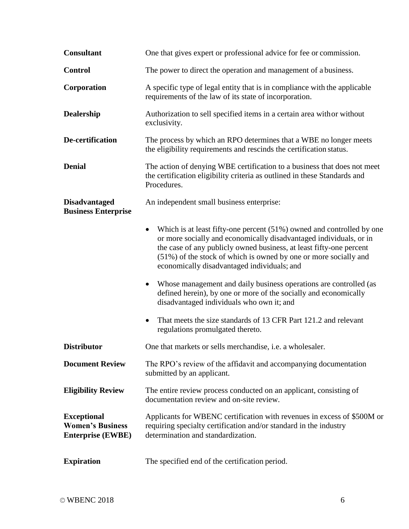| <b>Consultant</b>                                                         | One that gives expert or professional advice for fee or commission.                                                                                                                                                                                                                                                                                |
|---------------------------------------------------------------------------|----------------------------------------------------------------------------------------------------------------------------------------------------------------------------------------------------------------------------------------------------------------------------------------------------------------------------------------------------|
| <b>Control</b>                                                            | The power to direct the operation and management of a business.                                                                                                                                                                                                                                                                                    |
| Corporation                                                               | A specific type of legal entity that is in compliance with the applicable<br>requirements of the law of its state of incorporation.                                                                                                                                                                                                                |
| Dealership                                                                | Authorization to sell specified items in a certain area with or without<br>exclusivity.                                                                                                                                                                                                                                                            |
| De-certification                                                          | The process by which an RPO determines that a WBE no longer meets<br>the eligibility requirements and rescinds the certification status.                                                                                                                                                                                                           |
| <b>Denial</b>                                                             | The action of denying WBE certification to a business that does not meet<br>the certification eligibility criteria as outlined in these Standards and<br>Procedures.                                                                                                                                                                               |
| <b>Disadvantaged</b><br><b>Business Enterprise</b>                        | An independent small business enterprise:                                                                                                                                                                                                                                                                                                          |
|                                                                           | Which is at least fifty-one percent (51%) owned and controlled by one<br>$\bullet$<br>or more socially and economically disadvantaged individuals, or in<br>the case of any publicly owned business, at least fifty-one percent<br>(51%) of the stock of which is owned by one or more socially and<br>economically disadvantaged individuals; and |
|                                                                           | Whose management and daily business operations are controlled (as<br>defined herein), by one or more of the socially and economically<br>disadvantaged individuals who own it; and                                                                                                                                                                 |
|                                                                           | That meets the size standards of 13 CFR Part 121.2 and relevant<br>regulations promulgated thereto.                                                                                                                                                                                                                                                |
| <b>Distributor</b>                                                        | One that markets or sells merchandise, i.e. a wholesaler.                                                                                                                                                                                                                                                                                          |
| <b>Document Review</b>                                                    | The RPO's review of the affidavit and accompanying documentation<br>submitted by an applicant.                                                                                                                                                                                                                                                     |
| <b>Eligibility Review</b>                                                 | The entire review process conducted on an applicant, consisting of<br>documentation review and on-site review.                                                                                                                                                                                                                                     |
| <b>Exceptional</b><br><b>Women's Business</b><br><b>Enterprise (EWBE)</b> | Applicants for WBENC certification with revenues in excess of \$500M or<br>requiring specialty certification and/or standard in the industry<br>determination and standardization.                                                                                                                                                                 |
| <b>Expiration</b>                                                         | The specified end of the certification period.                                                                                                                                                                                                                                                                                                     |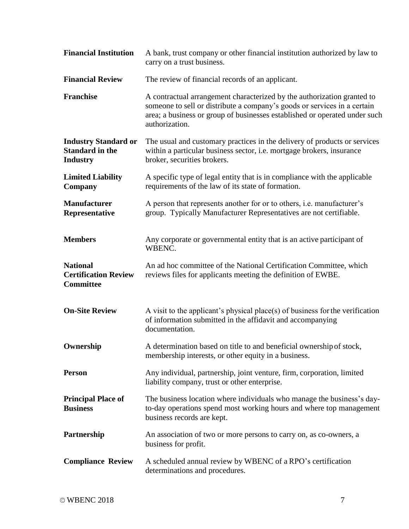| <b>Financial Institution</b>                                             | A bank, trust company or other financial institution authorized by law to<br>carry on a trust business.                                                                                                                                             |
|--------------------------------------------------------------------------|-----------------------------------------------------------------------------------------------------------------------------------------------------------------------------------------------------------------------------------------------------|
| <b>Financial Review</b>                                                  | The review of financial records of an applicant.                                                                                                                                                                                                    |
| <b>Franchise</b>                                                         | A contractual arrangement characterized by the authorization granted to<br>someone to sell or distribute a company's goods or services in a certain<br>area; a business or group of businesses established or operated under such<br>authorization. |
| <b>Industry Standard or</b><br><b>Standard in the</b><br><b>Industry</b> | The usual and customary practices in the delivery of products or services<br>within a particular business sector, i.e. mortgage brokers, insurance<br>broker, securities brokers.                                                                   |
| <b>Limited Liability</b><br>Company                                      | A specific type of legal entity that is in compliance with the applicable<br>requirements of the law of its state of formation.                                                                                                                     |
| <b>Manufacturer</b><br>Representative                                    | A person that represents another for or to others, <i>i.e.</i> manufacturer's<br>group. Typically Manufacturer Representatives are not certifiable.                                                                                                 |
| <b>Members</b>                                                           | Any corporate or governmental entity that is an active participant of<br>WBENC.                                                                                                                                                                     |
| <b>National</b><br><b>Certification Review</b><br><b>Committee</b>       | An ad hoc committee of the National Certification Committee, which<br>reviews files for applicants meeting the definition of EWBE.                                                                                                                  |
| <b>On-Site Review</b>                                                    | A visit to the applicant's physical place(s) of business for the verification<br>of information submitted in the affidavit and accompanying<br>documentation.                                                                                       |
| Ownership                                                                | A determination based on title to and beneficial ownership of stock,<br>membership interests, or other equity in a business.                                                                                                                        |
| <b>Person</b>                                                            | Any individual, partnership, joint venture, firm, corporation, limited<br>liability company, trust or other enterprise.                                                                                                                             |
| <b>Principal Place of</b><br><b>Business</b>                             | The business location where individuals who manage the business's day-<br>to-day operations spend most working hours and where top management<br>business records are kept.                                                                         |
| Partnership                                                              | An association of two or more persons to carry on, as co-owners, a<br>business for profit.                                                                                                                                                          |
| <b>Compliance Review</b>                                                 | A scheduled annual review by WBENC of a RPO's certification<br>determinations and procedures.                                                                                                                                                       |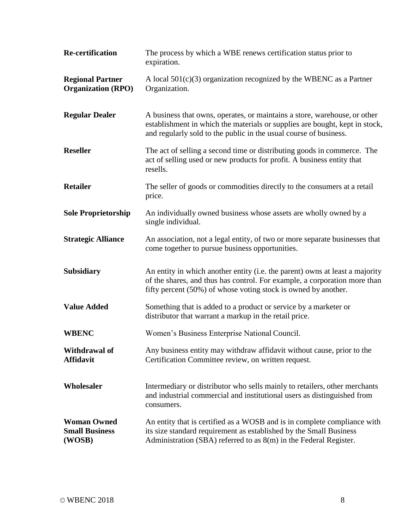| <b>Re-certification</b>                               | The process by which a WBE renews certification status prior to<br>expiration.                                                                                                                                                |
|-------------------------------------------------------|-------------------------------------------------------------------------------------------------------------------------------------------------------------------------------------------------------------------------------|
| <b>Regional Partner</b><br><b>Organization (RPO)</b>  | A local $501(c)(3)$ organization recognized by the WBENC as a Partner<br>Organization.                                                                                                                                        |
| <b>Regular Dealer</b>                                 | A business that owns, operates, or maintains a store, warehouse, or other<br>establishment in which the materials or supplies are bought, kept in stock,<br>and regularly sold to the public in the usual course of business. |
| <b>Reseller</b>                                       | The act of selling a second time or distributing goods in commerce. The<br>act of selling used or new products for profit. A business entity that<br>resells.                                                                 |
| <b>Retailer</b>                                       | The seller of goods or commodities directly to the consumers at a retail<br>price.                                                                                                                                            |
| <b>Sole Proprietorship</b>                            | An individually owned business whose assets are wholly owned by a<br>single individual.                                                                                                                                       |
| <b>Strategic Alliance</b>                             | An association, not a legal entity, of two or more separate businesses that<br>come together to pursue business opportunities.                                                                                                |
| <b>Subsidiary</b>                                     | An entity in which another entity (i.e. the parent) owns at least a majority<br>of the shares, and thus has control. For example, a corporation more than<br>fifty percent (50%) of whose voting stock is owned by another.   |
| <b>Value Added</b>                                    | Something that is added to a product or service by a marketer or<br>distributor that warrant a markup in the retail price.                                                                                                    |
| <b>WBENC</b>                                          | Women's Business Enterprise National Council.                                                                                                                                                                                 |
| Withdrawal of<br><b>Affidavit</b>                     | Any business entity may withdraw affidavit without cause, prior to the<br>Certification Committee review, on written request.                                                                                                 |
| Wholesaler                                            | Intermediary or distributor who sells mainly to retailers, other merchants<br>and industrial commercial and institutional users as distinguished from<br>consumers.                                                           |
| <b>Woman Owned</b><br><b>Small Business</b><br>(WOSB) | An entity that is certified as a WOSB and is in complete compliance with<br>its size standard requirement as established by the Small Business<br>Administration (SBA) referred to as $8(m)$ in the Federal Register.         |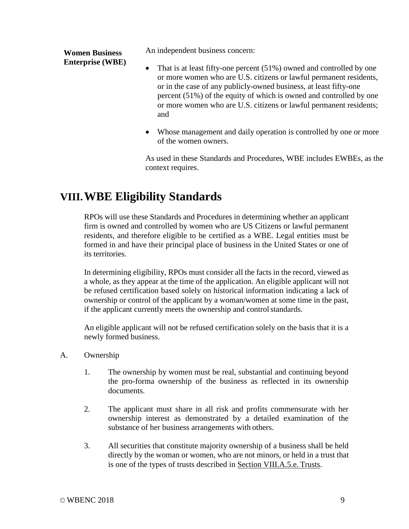**Women Business Enterprise (WBE)** An independent business concern:

- That is at least fifty-one percent (51%) owned and controlled by one or more women who are U.S. citizens or lawful permanent residents, or in the case of any publicly-owned business, at least fifty-one percent (51%) of the equity of which is owned and controlled by one or more women who are U.S. citizens or lawful permanent residents; and
- Whose management and daily operation is controlled by one or more of the women owners.

As used in these Standards and Procedures, WBE includes EWBEs, as the context requires.

## **VIII.WBE Eligibility Standards**

RPOs will use these Standards and Procedures in determining whether an applicant firm is owned and controlled by women who are US Citizens or lawful permanent residents, and therefore eligible to be certified as a WBE. Legal entities must be formed in and have their principal place of business in the United States or one of its territories.

In determining eligibility, RPOs must consider all the facts in the record, viewed as a whole, as they appear at the time of the application. An eligible applicant will not be refused certification based solely on historical information indicating a lack of ownership or control of the applicant by a woman/women at some time in the past, if the applicant currently meets the ownership and control standards.

An eligible applicant will not be refused certification solely on the basis that it is a newly formed business.

- A. Ownership
	- 1. The ownership by women must be real, substantial and continuing beyond the pro-forma ownership of the business as reflected in its ownership documents.
	- 2. The applicant must share in all risk and profits commensurate with her ownership interest as demonstrated by a detailed examination of the substance of her business arrangements with others.
	- 3. All securities that constitute majority ownership of a business shall be held directly by the woman or women, who are not minors, or held in a trust that is one of the types of trusts described in Section VIII.A.5.e. Trusts.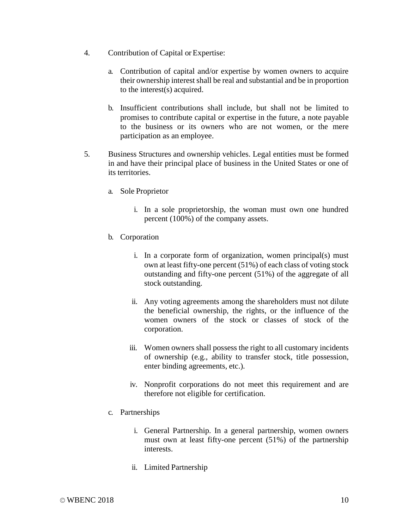- 4. Contribution of Capital or Expertise:
	- a. Contribution of capital and/or expertise by women owners to acquire their ownership interest shall be real and substantial and be in proportion to the interest(s) acquired.
	- b. Insufficient contributions shall include, but shall not be limited to promises to contribute capital or expertise in the future, a note payable to the business or its owners who are not women, or the mere participation as an employee.
- 5. Business Structures and ownership vehicles. Legal entities must be formed in and have their principal place of business in the United States or one of its territories.
	- a. Sole Proprietor
		- i. In a sole proprietorship, the woman must own one hundred percent (100%) of the company assets.
	- b. Corporation
		- i. In a corporate form of organization, women principal(s) must own at least fifty-one percent (51%) of each class of voting stock outstanding and fifty-one percent (51%) of the aggregate of all stock outstanding.
		- ii. Any voting agreements among the shareholders must not dilute the beneficial ownership, the rights, or the influence of the women owners of the stock or classes of stock of the corporation.
		- iii. Women owners shall possess the right to all customary incidents of ownership (e.g., ability to transfer stock, title possession, enter binding agreements, etc.).
		- iv. Nonprofit corporations do not meet this requirement and are therefore not eligible for certification.
	- c. Partnerships
		- i. General Partnership. In a general partnership, women owners must own at least fifty-one percent (51%) of the partnership interests.
		- ii. Limited Partnership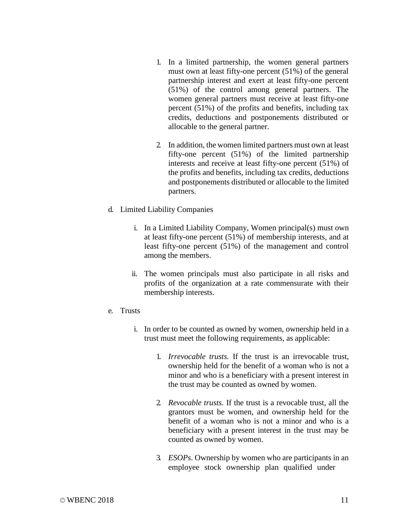- 1. In a limited partnership, the women general partners must own at least fifty-one percent (51%) of the general partnership interest and exert at least fifty-one percent (51%) of the control among general partners. The women general partners must receive at least fifty-one percent (51%) of the profits and benefits, including tax credits, deductions and postponements distributed or allocable to the general partner.
- 2. In addition, the women limited partners must own at least fifty-one percent (51%) of the limited partnership interests and receive at least fifty-one percent (51%) of the profits and benefits, including tax credits, deductions and postponements distributed or allocable to the limited partners.
- d. Limited Liability Companies
	- i. In a Limited Liability Company, Women principal(s) must own at least fifty-one percent (51%) of membership interests, and at least fifty-one percent (51%) of the management and control among the members.
	- ii. The women principals must also participate in all risks and profits of the organization at a rate commensurate with their membership interests.
- e. Trusts
	- i. In order to be counted as owned by women, ownership held in a trust must meet the following requirements, as applicable:
		- 1. *Irrevocable trusts.* If the trust is an irrevocable trust, ownership held for the benefit of a woman who is not a minor and who is a beneficiary with a present interest in the trust may be counted as owned by women.
		- 2. *Revocable trusts.* If the trust is a revocable trust, all the grantors must be women, and ownership held for the benefit of a woman who is not a minor and who is a beneficiary with a present interest in the trust may be counted as owned by women.
		- 3. *ESOPs*. Ownership by women who are participants in an employee stock ownership plan qualified under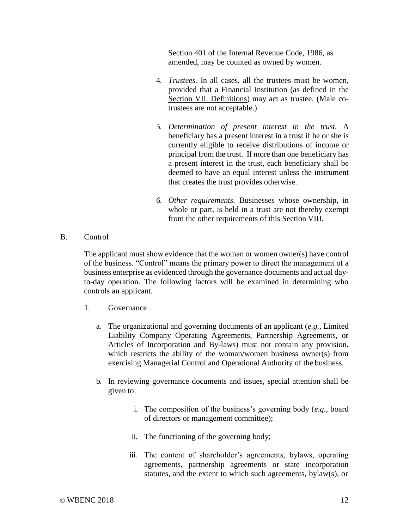Section 401 of the Internal Revenue Code, 1986, as amended, may be counted as owned by women.

- 4. *Trustees.* In all cases, all the trustees must be women, provided that a Financial Institution (as defined in the Section VII. Definitions) may act as trustee. (Male cotrustees are not acceptable.)
- 5. *Determination of present interest in the trust.* A beneficiary has a present interest in a trust if he or she is currently eligible to receive distributions of income or principal from the trust. If more than one beneficiary has a present interest in the trust, each beneficiary shall be deemed to have an equal interest unless the instrument that creates the trust provides otherwise.
- 6. *Other requirements.* Businesses whose ownership, in whole or part, is held in a trust are not thereby exempt from the other requirements of this Section VIII.
- B. Control

The applicant must show evidence that the woman or women owner(s) have control of the business. "Control" means the primary power to direct the management of a business enterprise as evidenced through the governance documents and actual dayto-day operation. The following factors will be examined in determining who controls an applicant.

- 1. Governance
	- a. The organizational and governing documents of an applicant (*e.g.*, Limited Liability Company Operating Agreements, Partnership Agreements, or Articles of Incorporation and By-laws) must not contain any provision, which restricts the ability of the woman/women business owner(s) from exercising Managerial Control and Operational Authority of the business.
	- b. In reviewing governance documents and issues, special attention shall be given to:
		- i. The composition of the business's governing body (*e.g.*, board of directors or management committee);
		- ii. The functioning of the governing body;
		- iii. The content of shareholder's agreements, bylaws, operating agreements, partnership agreements or state incorporation statutes, and the extent to which such agreements, bylaw(s), or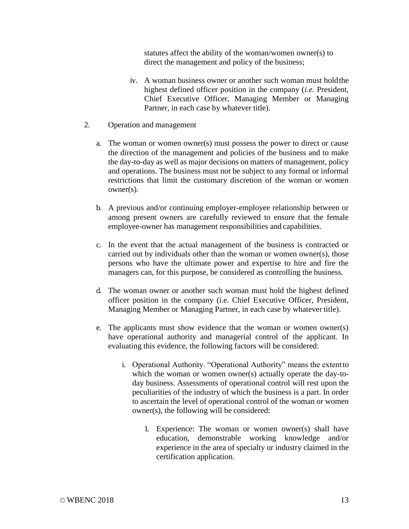statutes affect the ability of the woman/women owner(s) to direct the management and policy of the business;

- iv. A woman business owner or another such woman must holdthe highest defined officer position in the company (*i.e.* President, Chief Executive Officer, Managing Member or Managing Partner, in each case by whatever title).
- 2. Operation and management
	- a. The woman or women owner(s) must possess the power to direct or cause the direction of the management and policies of the business and to make the day-to-day as well as major decisions on matters of management, policy and operations. The business must not be subject to any formal or informal restrictions that limit the customary discretion of the woman or women owner(s).
	- b. A previous and/or continuing employer-employee relationship between or among present owners are carefully reviewed to ensure that the female employee-owner has management responsibilities and capabilities.
	- c. In the event that the actual management of the business is contracted or carried out by individuals other than the woman or women owner(s), those persons who have the ultimate power and expertise to hire and fire the managers can, for this purpose, be considered as controlling the business.
	- d. The woman owner or another such woman must hold the highest defined officer position in the company (i.e. Chief Executive Officer, President, Managing Member or Managing Partner, in each case by whatever title).
	- e. The applicants must show evidence that the woman or women owner(s) have operational authority and managerial control of the applicant. In evaluating this evidence, the following factors will be considered:
		- i. Operational Authority. "Operational Authority" means the extentto which the woman or women owner(s) actually operate the day-today business. Assessments of operational control will rest upon the peculiarities of the industry of which the business is a part. In order to ascertain the level of operational control of the woman or women owner(s), the following will be considered:
			- 1. Experience: The woman or women owner(s) shall have education, demonstrable working knowledge and/or experience in the area of specialty or industry claimed in the certification application.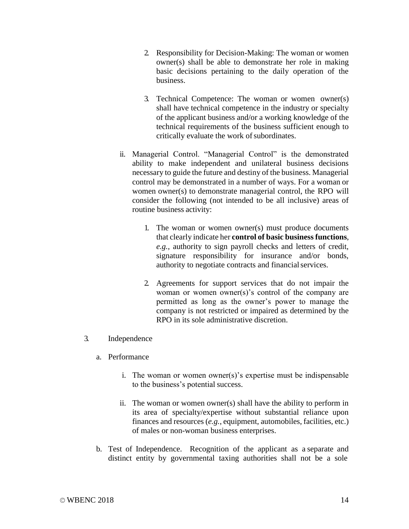- 2. Responsibility for Decision-Making: The woman or women owner(s) shall be able to demonstrate her role in making basic decisions pertaining to the daily operation of the business.
- 3. Technical Competence: The woman or women owner(s) shall have technical competence in the industry or specialty of the applicant business and/or a working knowledge of the technical requirements of the business sufficient enough to critically evaluate the work of subordinates.
- ii. Managerial Control. "Managerial Control" is the demonstrated ability to make independent and unilateral business decisions necessary to guide the future and destiny of the business. Managerial control may be demonstrated in a number of ways. For a woman or women owner(s) to demonstrate managerial control, the RPO will consider the following (not intended to be all inclusive) areas of routine business activity:
	- 1. The woman or women owner(s) must produce documents that clearly indicate her **control of basic business functions**, *e.g.*, authority to sign payroll checks and letters of credit, signature responsibility for insurance and/or bonds, authority to negotiate contracts and financialservices.
	- 2. Agreements for support services that do not impair the woman or women owner(s)'s control of the company are permitted as long as the owner's power to manage the company is not restricted or impaired as determined by the RPO in its sole administrative discretion.

#### 3. Independence

- a. Performance
	- i. The woman or women owner(s)'s expertise must be indispensable to the business's potential success.
	- ii. The woman or women owner(s) shall have the ability to perform in its area of specialty/expertise without substantial reliance upon finances and resources (*e.g.*, equipment, automobiles, facilities, etc.) of males or non-woman business enterprises.
- b. Test of Independence. Recognition of the applicant as a separate and distinct entity by governmental taxing authorities shall not be a sole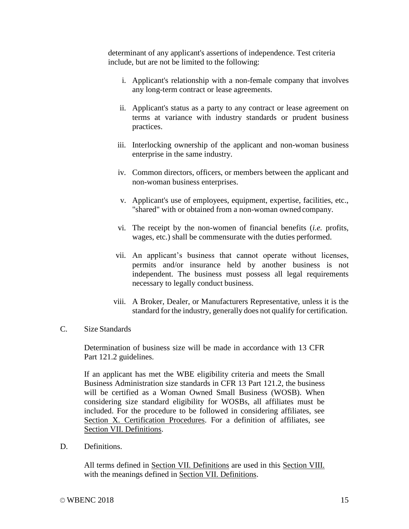determinant of any applicant's assertions of independence. Test criteria include, but are not be limited to the following:

- i. Applicant's relationship with a non-female company that involves any long-term contract or lease agreements.
- ii. Applicant's status as a party to any contract or lease agreement on terms at variance with industry standards or prudent business practices.
- iii. Interlocking ownership of the applicant and non-woman business enterprise in the same industry.
- iv. Common directors, officers, or members between the applicant and non-woman business enterprises.
- v. Applicant's use of employees, equipment, expertise, facilities, etc., "shared" with or obtained from a non-woman owned company.
- vi. The receipt by the non-women of financial benefits (*i.e.* profits, wages, etc.) shall be commensurate with the duties performed.
- vii. An applicant's business that cannot operate without licenses, permits and/or insurance held by another business is not independent. The business must possess all legal requirements necessary to legally conduct business.
- viii. A Broker, Dealer, or Manufacturers Representative, unless it is the standard for the industry, generally does not qualify for certification.
- C. Size Standards

Determination of business size will be made in accordance with 13 CFR Part 121.2 guidelines.

If an applicant has met the WBE eligibility criteria and meets the Small Business Administration size standards in CFR 13 Part 121.2, the business will be certified as a Woman Owned Small Business (WOSB). When considering size standard eligibility for WOSBs, all affiliates must be included. For the procedure to be followed in considering affiliates, see Section X. Certification Procedures. For a definition of affiliates, see Section VII. Definitions.

D. Definitions.

All terms defined in Section VII. Definitions are used in this Section VIII. with the meanings defined in Section VII. Definitions.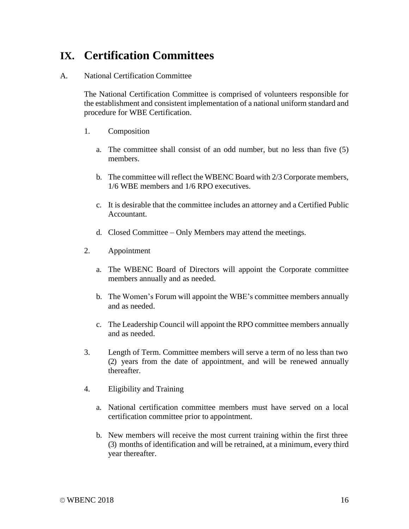# **IX. Certification Committees**

#### A. National Certification Committee

The National Certification Committee is comprised of volunteers responsible for the establishment and consistent implementation of a national uniform standard and procedure for WBE Certification.

- 1. Composition
	- a. The committee shall consist of an odd number, but no less than five (5) members.
	- b. The committee will reflect the WBENC Board with 2/3 Corporate members, 1/6 WBE members and 1/6 RPO executives.
	- c. It is desirable that the committee includes an attorney and a Certified Public Accountant.
	- d. Closed Committee Only Members may attend the meetings.
- 2. Appointment
	- a. The WBENC Board of Directors will appoint the Corporate committee members annually and as needed.
	- b. The Women's Forum will appoint the WBE's committee members annually and as needed.
	- c. The Leadership Council will appoint the RPO committee members annually and as needed.
- 3. Length of Term. Committee members will serve a term of no less than two (2) years from the date of appointment, and will be renewed annually thereafter.
- 4. Eligibility and Training
	- a. National certification committee members must have served on a local certification committee prior to appointment.
	- b. New members will receive the most current training within the first three (3) months of identification and will be retrained, at a minimum, every third year thereafter.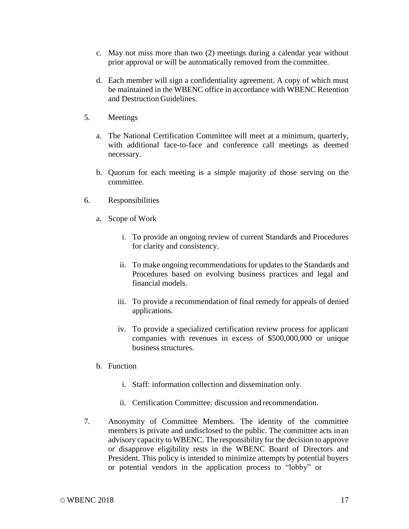- c. May not miss more than two (2) meetings during a calendar year without prior approval or will be automatically removed from the committee.
- d. Each member will sign a confidentiality agreement. A copy of which must be maintained in the WBENC office in accordance with WBENC Retention and Destruction Guidelines.
- 5. Meetings
	- a. The National Certification Committee will meet at a minimum, quarterly, with additional face-to-face and conference call meetings as deemed necessary.
	- b. Quorum for each meeting is a simple majority of those serving on the committee.
- 6. Responsibilities
	- a. Scope of Work
		- i. To provide an ongoing review of current Standards and Procedures for clarity and consistency.
		- ii. To make ongoing recommendations for updates to the Standards and Procedures based on evolving business practices and legal and financial models.
		- iii. To provide a recommendation of final remedy for appeals of denied applications.
		- iv. To provide a specialized certification review process for applicant companies with revenues in excess of \$500,000,000 or unique business structures.
	- b. Function
		- i. Staff: information collection and dissemination only.
		- ii. Certification Committee: discussion and recommendation.
- 7. Anonymity of Committee Members. The identity of the committee members is private and undisclosed to the public. The committee acts in an advisory capacity to WBENC. The responsibility for the decision to approve or disapprove eligibility rests in the WBENC Board of Directors and President. This policy is intended to minimize attempts by potential buyers or potential vendors in the application process to "lobby" or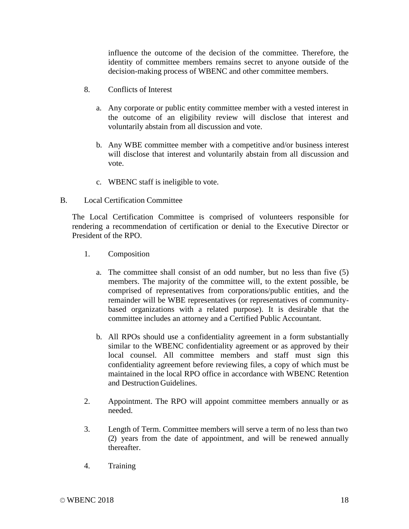influence the outcome of the decision of the committee. Therefore, the identity of committee members remains secret to anyone outside of the decision-making process of WBENC and other committee members.

- 8. Conflicts of Interest
	- a. Any corporate or public entity committee member with a vested interest in the outcome of an eligibility review will disclose that interest and voluntarily abstain from all discussion and vote.
	- b. Any WBE committee member with a competitive and/or business interest will disclose that interest and voluntarily abstain from all discussion and vote.
	- c. WBENC staff is ineligible to vote.
- B. Local Certification Committee

The Local Certification Committee is comprised of volunteers responsible for rendering a recommendation of certification or denial to the Executive Director or President of the RPO.

- 1. Composition
	- a. The committee shall consist of an odd number, but no less than five (5) members. The majority of the committee will, to the extent possible, be comprised of representatives from corporations/public entities, and the remainder will be WBE representatives (or representatives of communitybased organizations with a related purpose). It is desirable that the committee includes an attorney and a Certified Public Accountant.
	- b. All RPOs should use a confidentiality agreement in a form substantially similar to the WBENC confidentiality agreement or as approved by their local counsel. All committee members and staff must sign this confidentiality agreement before reviewing files, a copy of which must be maintained in the local RPO office in accordance with WBENC Retention and Destruction Guidelines.
- 2. Appointment. The RPO will appoint committee members annually or as needed.
- 3. Length of Term. Committee members will serve a term of no less than two (2) years from the date of appointment, and will be renewed annually thereafter.
- 4. Training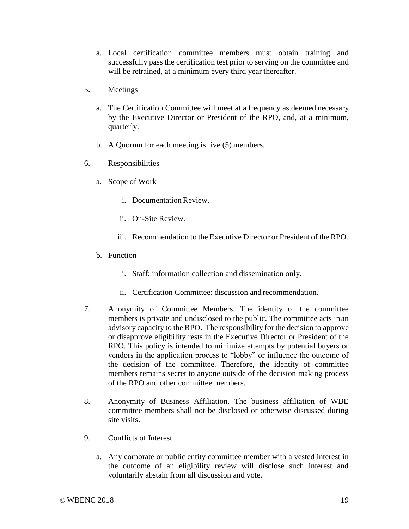- a. Local certification committee members must obtain training and successfully pass the certification test prior to serving on the committee and will be retrained, at a minimum every third year thereafter.
- 5. Meetings
	- a. The Certification Committee will meet at a frequency as deemed necessary by the Executive Director or President of the RPO, and, at a minimum, quarterly.
	- b. A Quorum for each meeting is five (5) members.
- 6. Responsibilities
	- a. Scope of Work
		- i. Documentation Review.
		- ii. On-Site Review.
		- iii. Recommendation to the Executive Director or President of the RPO.
	- b. Function
		- i. Staff: information collection and dissemination only.
		- ii. Certification Committee: discussion and recommendation.
- 7. Anonymity of Committee Members. The identity of the committee members is private and undisclosed to the public. The committee acts in an advisory capacity to the RPO. The responsibility for the decision to approve or disapprove eligibility rests in the Executive Director or President of the RPO. This policy is intended to minimize attempts by potential buyers or vendors in the application process to "lobby" or influence the outcome of the decision of the committee. Therefore, the identity of committee members remains secret to anyone outside of the decision making process of the RPO and other committee members.
- 8. Anonymity of Business Affiliation. The business affiliation of WBE committee members shall not be disclosed or otherwise discussed during site visits.
- 9. Conflicts of Interest
	- a. Any corporate or public entity committee member with a vested interest in the outcome of an eligibility review will disclose such interest and voluntarily abstain from all discussion and vote.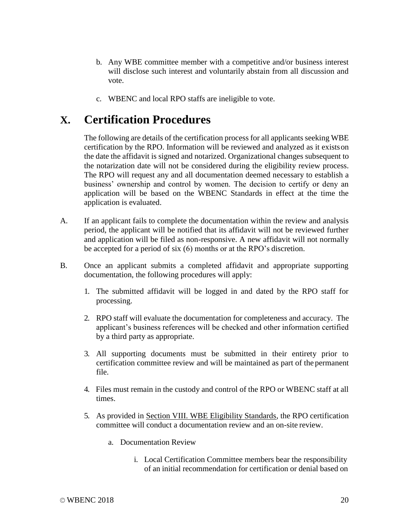- b. Any WBE committee member with a competitive and/or business interest will disclose such interest and voluntarily abstain from all discussion and vote.
- c. WBENC and local RPO staffs are ineligible to vote.

### **X. Certification Procedures**

The following are details of the certification process for all applicants seeking WBE certification by the RPO. Information will be reviewed and analyzed as it existson the date the affidavit is signed and notarized. Organizational changes subsequent to the notarization date will not be considered during the eligibility review process. The RPO will request any and all documentation deemed necessary to establish a business' ownership and control by women. The decision to certify or deny an application will be based on the WBENC Standards in effect at the time the application is evaluated.

- A. If an applicant fails to complete the documentation within the review and analysis period, the applicant will be notified that its affidavit will not be reviewed further and application will be filed as non-responsive. A new affidavit will not normally be accepted for a period of six (6) months or at the RPO's discretion.
- B. Once an applicant submits a completed affidavit and appropriate supporting documentation, the following procedures will apply:
	- 1. The submitted affidavit will be logged in and dated by the RPO staff for processing.
	- 2. RPO staff will evaluate the documentation for completeness and accuracy. The applicant's business references will be checked and other information certified by a third party as appropriate.
	- 3. All supporting documents must be submitted in their entirety prior to certification committee review and will be maintained as part of the permanent file.
	- 4. Files must remain in the custody and control of the RPO or WBENC staff at all times.
	- 5. As provided in Section VIII. WBE Eligibility Standards, the RPO certification committee will conduct a documentation review and an on-site review.
		- a. Documentation Review
			- i. Local Certification Committee members bear the responsibility of an initial recommendation for certification or denial based on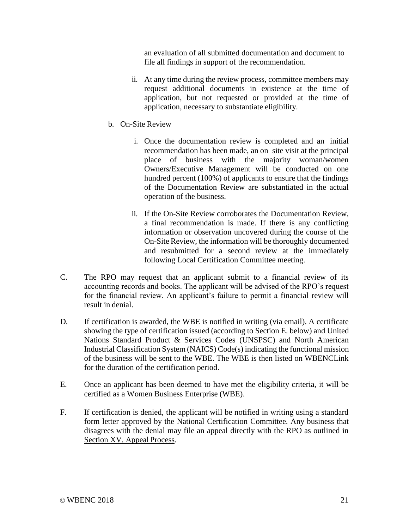an evaluation of all submitted documentation and document to file all findings in support of the recommendation.

- ii. At any time during the review process, committee members may request additional documents in existence at the time of application, but not requested or provided at the time of application, necessary to substantiate eligibility.
- b. On-Site Review
	- i. Once the documentation review is completed and an initial recommendation has been made, an on–site visit at the principal place of business with the majority woman/women Owners/Executive Management will be conducted on one hundred percent (100%) of applicants to ensure that the findings of the Documentation Review are substantiated in the actual operation of the business.
	- ii. If the On-Site Review corroborates the Documentation Review, a final recommendation is made. If there is any conflicting information or observation uncovered during the course of the On-Site Review, the information will be thoroughly documented and resubmitted for a second review at the immediately following Local Certification Committee meeting.
- C. The RPO may request that an applicant submit to a financial review of its accounting records and books. The applicant will be advised of the RPO's request for the financial review. An applicant's failure to permit a financial review will result in denial.
- D. If certification is awarded, the WBE is notified in writing (via email). A certificate showing the type of certification issued (according to Section E. below) and United Nations Standard Product & Services Codes (UNSPSC) and North American Industrial Classification System (NAICS) Code(s) indicating the functional mission of the business will be sent to the WBE. The WBE is then listed on WBENCLink for the duration of the certification period.
- E. Once an applicant has been deemed to have met the eligibility criteria, it will be certified as a Women Business Enterprise (WBE).
- F. If certification is denied, the applicant will be notified in writing using a standard form letter approved by the National Certification Committee. Any business that disagrees with the denial may file an appeal directly with the RPO as outlined in Section XV. Appeal Process.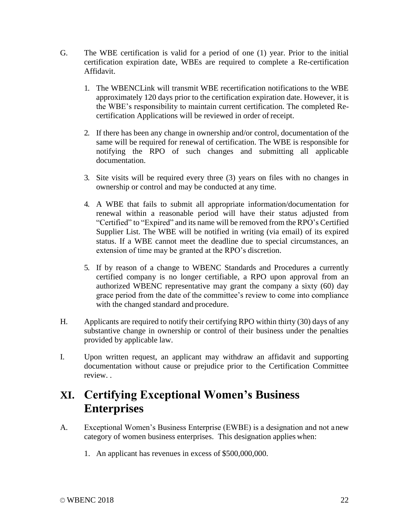- G. The WBE certification is valid for a period of one (1) year. Prior to the initial certification expiration date, WBEs are required to complete a Re-certification Affidavit.
	- 1. The WBENCLink will transmit WBE recertification notifications to the WBE approximately 120 days prior to the certification expiration date. However, it is the WBE's responsibility to maintain current certification. The completed Recertification Applications will be reviewed in order of receipt.
	- 2. If there has been any change in ownership and/or control, documentation of the same will be required for renewal of certification. The WBE is responsible for notifying the RPO of such changes and submitting all applicable documentation.
	- 3. Site visits will be required every three (3) years on files with no changes in ownership or control and may be conducted at any time.
	- 4. A WBE that fails to submit all appropriate information/documentation for renewal within a reasonable period will have their status adjusted from "Certified" to "Expired" and its name will be removed from the RPO's Certified Supplier List. The WBE will be notified in writing (via email) of its expired status. If a WBE cannot meet the deadline due to special circumstances, an extension of time may be granted at the RPO's discretion.
	- 5. If by reason of a change to WBENC Standards and Procedures a currently certified company is no longer certifiable, a RPO upon approval from an authorized WBENC representative may grant the company a sixty (60) day grace period from the date of the committee's review to come into compliance with the changed standard and procedure.
- H. Applicants are required to notify their certifying RPO within thirty (30) days of any substantive change in ownership or control of their business under the penalties provided by applicable law.
- I. Upon written request, an applicant may withdraw an affidavit and supporting documentation without cause or prejudice prior to the Certification Committee review. .

# **XI. Certifying Exceptional Women's Business Enterprises**

- A. Exceptional Women's Business Enterprise (EWBE) is a designation and not anew category of women business enterprises. This designation applies when:
	- 1. An applicant has revenues in excess of \$500,000,000.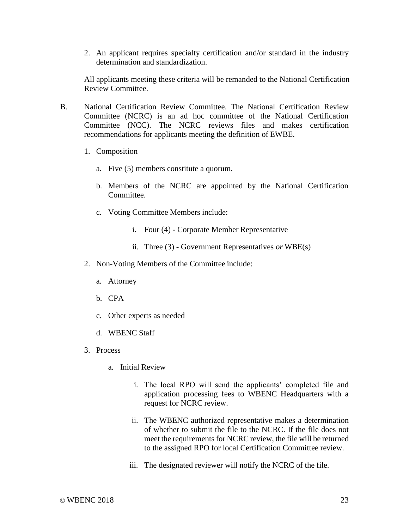2. An applicant requires specialty certification and/or standard in the industry determination and standardization.

All applicants meeting these criteria will be remanded to the National Certification Review Committee.

- B. National Certification Review Committee. The National Certification Review Committee (NCRC) is an ad hoc committee of the National Certification Committee (NCC). The NCRC reviews files and makes certification recommendations for applicants meeting the definition of EWBE.
	- 1. Composition
		- a. Five (5) members constitute a quorum.
		- b. Members of the NCRC are appointed by the National Certification Committee.
		- c. Voting Committee Members include:
			- i. Four (4) Corporate Member Representative
			- ii. Three (3) Government Representatives *or* WBE(s)
	- 2. Non-Voting Members of the Committee include:
		- a. Attorney
		- b. CPA
		- c. Other experts as needed
		- d. WBENC Staff
	- 3. Process
		- a. Initial Review
			- i. The local RPO will send the applicants' completed file and application processing fees to WBENC Headquarters with a request for NCRC review.
			- ii. The WBENC authorized representative makes a determination of whether to submit the file to the NCRC. If the file does not meet the requirements for NCRC review, the file will be returned to the assigned RPO for local Certification Committee review.
			- iii. The designated reviewer will notify the NCRC of the file.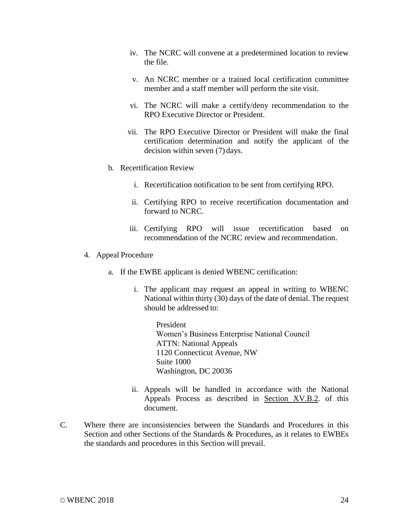- iv. The NCRC will convene at a predetermined location to review the file.
- v. An NCRC member or a trained local certification committee member and a staff member will perform the site visit.
- vi. The NCRC will make a certify/deny recommendation to the RPO Executive Director or President.
- vii. The RPO Executive Director or President will make the final certification determination and notify the applicant of the decision within seven (7) days.
- b. Recertification Review
	- i. Recertification notification to be sent from certifying RPO.
	- ii. Certifying RPO to receive recertification documentation and forward to NCRC.
	- iii. Certifying RPO will issue recertification based on recommendation of the NCRC review and recommendation.
- 4. Appeal Procedure
	- a. If the EWBE applicant is denied WBENC certification:
		- i. The applicant may request an appeal in writing to WBENC National within thirty (30) days of the date of denial. The request should be addressed to:

President Women's Business Enterprise National Council ATTN: National Appeals 1120 Connecticut Avenue, NW Suite 1000 Washington, DC 20036

- ii. Appeals will be handled in accordance with the National Appeals Process as described in Section XV.B.2. of this document.
- C. Where there are inconsistencies between the Standards and Procedures in this Section and other Sections of the Standards & Procedures, as it relates to EWBEs the standards and procedures in this Section will prevail.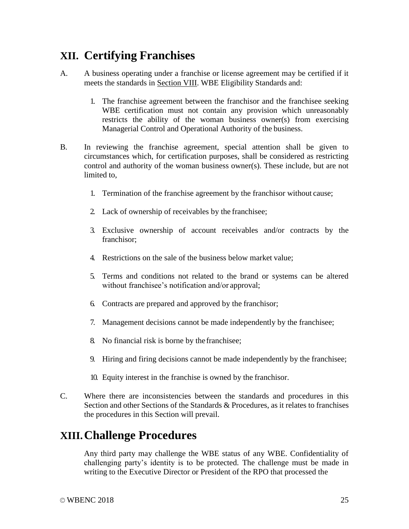# **XII. Certifying Franchises**

- A. A business operating under a franchise or license agreement may be certified if it meets the standards in Section VIII. WBE Eligibility Standards and:
	- 1. The franchise agreement between the franchisor and the franchisee seeking WBE certification must not contain any provision which unreasonably restricts the ability of the woman business owner(s) from exercising Managerial Control and Operational Authority of the business.
- B. In reviewing the franchise agreement, special attention shall be given to circumstances which, for certification purposes, shall be considered as restricting control and authority of the woman business owner(s). These include, but are not limited to.
	- 1. Termination of the franchise agreement by the franchisor without cause;
	- 2. Lack of ownership of receivables by the franchisee;
	- 3. Exclusive ownership of account receivables and/or contracts by the franchisor;
	- 4. Restrictions on the sale of the business below market value;
	- 5. Terms and conditions not related to the brand or systems can be altered without franchisee's notification and/or approval;
	- 6. Contracts are prepared and approved by the franchisor;
	- 7. Management decisions cannot be made independently by the franchisee;
	- 8. No financial risk is borne by the franchisee;
	- 9. Hiring and firing decisions cannot be made independently by the franchisee;
	- 10. Equity interest in the franchise is owned by the franchisor.
- C. Where there are inconsistencies between the standards and procedures in this Section and other Sections of the Standards & Procedures, as it relates to franchises the procedures in this Section will prevail.

### **XIII.Challenge Procedures**

Any third party may challenge the WBE status of any WBE. Confidentiality of challenging party's identity is to be protected. The challenge must be made in writing to the Executive Director or President of the RPO that processed the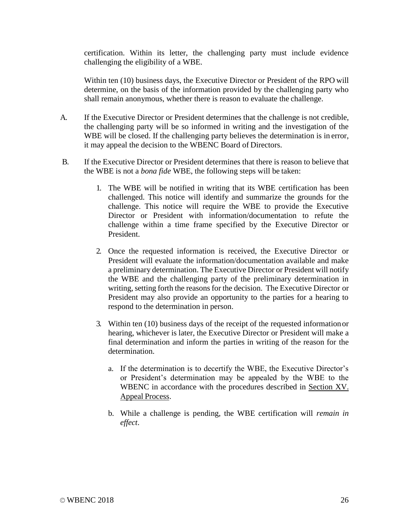certification. Within its letter, the challenging party must include evidence challenging the eligibility of a WBE.

Within ten (10) business days, the Executive Director or President of the RPO will determine, on the basis of the information provided by the challenging party who shall remain anonymous, whether there is reason to evaluate the challenge.

- A. If the Executive Director or President determines that the challenge is not credible, the challenging party will be so informed in writing and the investigation of the WBE will be closed. If the challenging party believes the determination is in error, it may appeal the decision to the WBENC Board of Directors.
- B. If the Executive Director or President determines that there is reason to believe that the WBE is not a *bona fide* WBE, the following steps will be taken:
	- 1. The WBE will be notified in writing that its WBE certification has been challenged. This notice will identify and summarize the grounds for the challenge. This notice will require the WBE to provide the Executive Director or President with information/documentation to refute the challenge within a time frame specified by the Executive Director or President.
	- 2. Once the requested information is received, the Executive Director or President will evaluate the information/documentation available and make a preliminary determination. The Executive Director or President will notify the WBE and the challenging party of the preliminary determination in writing, setting forth the reasons for the decision. The Executive Director or President may also provide an opportunity to the parties for a hearing to respond to the determination in person.
	- 3. Within ten (10) business days of the receipt of the requested informationor hearing, whichever is later, the Executive Director or President will make a final determination and inform the parties in writing of the reason for the determination.
		- a. If the determination is to decertify the WBE, the Executive Director's or President's determination may be appealed by the WBE to the WBENC in accordance with the procedures described in Section XV. Appeal Process.
		- b. While a challenge is pending, the WBE certification will *remain in effect*.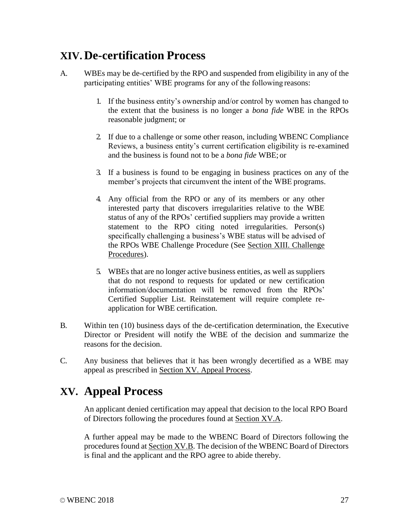## **XIV. De-certification Process**

- A. WBEs may be de-certified by the RPO and suspended from eligibility in any of the participating entities' WBE programs for any of the following reasons:
	- 1. If the business entity's ownership and/or control by women has changed to the extent that the business is no longer a *bona fide* WBE in the RPOs reasonable judgment; or
	- 2. If due to a challenge or some other reason, including WBENC Compliance Reviews, a business entity's current certification eligibility is re-examined and the business is found not to be a *bona fide* WBE; or
	- 3. If a business is found to be engaging in business practices on any of the member's projects that circumvent the intent of the WBE programs.
	- 4. Any official from the RPO or any of its members or any other interested party that discovers irregularities relative to the WBE status of any of the RPOs' certified suppliers may provide a written statement to the RPO citing noted irregularities. Person(s) specifically challenging a business's WBE status will be advised of the RPOs WBE Challenge Procedure (See Section XIII. Challenge Procedures).
	- 5. WBEs that are no longer active business entities, as well as suppliers that do not respond to requests for updated or new certification information/documentation will be removed from the RPOs' Certified Supplier List. Reinstatement will require complete reapplication for WBE certification.
- B. Within ten (10) business days of the de-certification determination, the Executive Director or President will notify the WBE of the decision and summarize the reasons for the decision.
- C. Any business that believes that it has been wrongly decertified as a WBE may appeal as prescribed in Section XV. Appeal Process.

### **XV. Appeal Process**

An applicant denied certification may appeal that decision to the local RPO Board of Directors following the procedures found at Section XV.A.

A further appeal may be made to the WBENC Board of Directors following the procedures found at Section XV.B. The decision of the WBENC Board of Directors is final and the applicant and the RPO agree to abide thereby.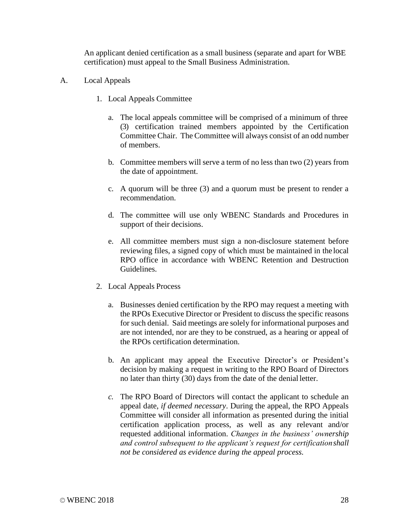An applicant denied certification as a small business (separate and apart for WBE certification) must appeal to the Small Business Administration.

- A. Local Appeals
	- 1. Local Appeals Committee
		- a. The local appeals committee will be comprised of a minimum of three (3) certification trained members appointed by the Certification Committee Chair. The Committee will always consist of an odd number of members.
		- b. Committee members will serve a term of no less than two (2) years from the date of appointment.
		- c. A quorum will be three (3) and a quorum must be present to render a recommendation.
		- d. The committee will use only WBENC Standards and Procedures in support of their decisions.
		- e. All committee members must sign a non-disclosure statement before reviewing files, a signed copy of which must be maintained in the local RPO office in accordance with WBENC Retention and Destruction Guidelines.
	- 2. Local Appeals Process
		- a. Businesses denied certification by the RPO may request a meeting with the RPOs Executive Director or President to discuss the specific reasons for such denial. Said meetings are solely for informational purposes and are not intended, nor are they to be construed, as a hearing or appeal of the RPOs certification determination.
		- b. An applicant may appeal the Executive Director's or President's decision by making a request in writing to the RPO Board of Directors no later than thirty (30) days from the date of the denial letter.
		- *c.* The RPO Board of Directors will contact the applicant to schedule an appeal date, *if deemed necessary*. During the appeal, the RPO Appeals Committee will consider all information as presented during the initial certification application process, as well as any relevant and/or requested additional information. *Changes in the business' ownership and control subsequent to the applicant's request for certificationshall not be considered as evidence during the appeal process.*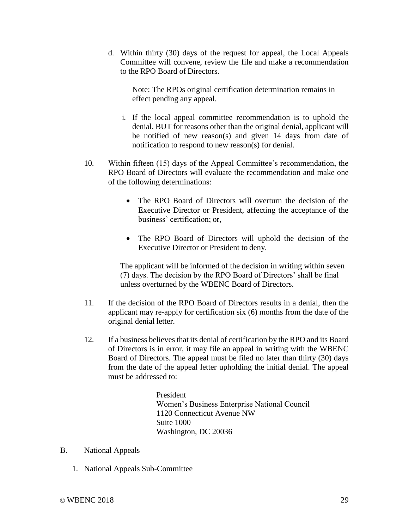d. Within thirty (30) days of the request for appeal, the Local Appeals Committee will convene, review the file and make a recommendation to the RPO Board of Directors.

Note: The RPOs original certification determination remains in effect pending any appeal.

- i. If the local appeal committee recommendation is to uphold the denial, BUT for reasons other than the original denial, applicant will be notified of new reason(s) and given 14 days from date of notification to respond to new reason(s) for denial.
- 10. Within fifteen (15) days of the Appeal Committee's recommendation, the RPO Board of Directors will evaluate the recommendation and make one of the following determinations:
	- The RPO Board of Directors will overturn the decision of the Executive Director or President, affecting the acceptance of the business' certification; or,
	- The RPO Board of Directors will uphold the decision of the Executive Director or President to deny.

The applicant will be informed of the decision in writing within seven (7) days. The decision by the RPO Board of Directors' shall be final unless overturned by the WBENC Board of Directors.

- 11. If the decision of the RPO Board of Directors results in a denial, then the applicant may re-apply for certification six (6) months from the date of the original denial letter.
- 12. If a business believes that its denial of certification by the RPO and its Board of Directors is in error, it may file an appeal in writing with the WBENC Board of Directors. The appeal must be filed no later than thirty (30) days from the date of the appeal letter upholding the initial denial. The appeal must be addressed to:

President Women's Business Enterprise National Council 1120 Connecticut Avenue NW Suite 1000 Washington, DC 20036

#### B. National Appeals

1. National Appeals Sub-Committee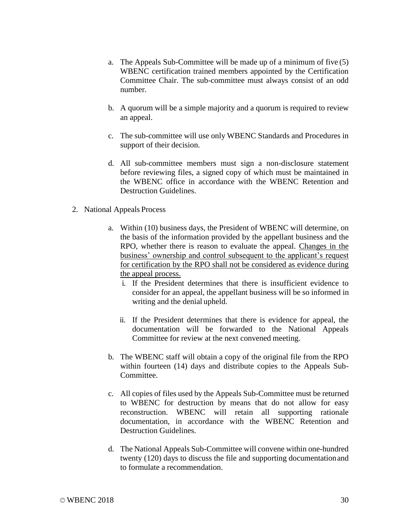- a. The Appeals Sub-Committee will be made up of a minimum of five (5) WBENC certification trained members appointed by the Certification Committee Chair. The sub-committee must always consist of an odd number.
- b. A quorum will be a simple majority and a quorum is required to review an appeal.
- c. The sub-committee will use only WBENC Standards and Procedures in support of their decision.
- d. All sub-committee members must sign a non-disclosure statement before reviewing files, a signed copy of which must be maintained in the WBENC office in accordance with the WBENC Retention and Destruction Guidelines.
- 2. National Appeals Process
	- a. Within (10) business days, the President of WBENC will determine, on the basis of the information provided by the appellant business and the RPO, whether there is reason to evaluate the appeal. Changes in the business' ownership and control subsequent to the applicant's request for certification by the RPO shall not be considered as evidence during the appeal process.
		- i. If the President determines that there is insufficient evidence to consider for an appeal, the appellant business will be so informed in writing and the denial upheld.
		- ii. If the President determines that there is evidence for appeal, the documentation will be forwarded to the National Appeals Committee for review at the next convened meeting.
	- b. The WBENC staff will obtain a copy of the original file from the RPO within fourteen (14) days and distribute copies to the Appeals Sub-Committee.
	- c. All copies of files used by the Appeals Sub-Committee must be returned to WBENC for destruction by means that do not allow for easy reconstruction. WBENC will retain all supporting rationale documentation, in accordance with the WBENC Retention and Destruction Guidelines.
	- d. The National Appeals Sub-Committee will convene within one-hundred twenty (120) days to discuss the file and supporting documentationand to formulate a recommendation.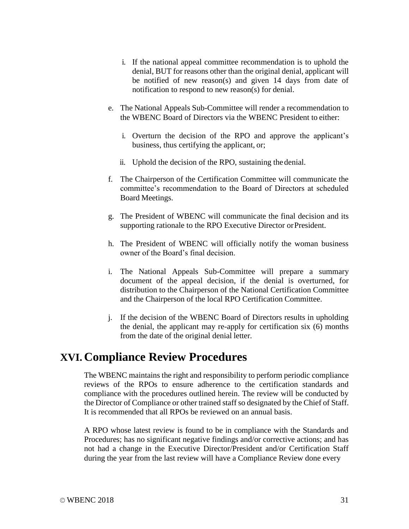- i. If the national appeal committee recommendation is to uphold the denial, BUT for reasons other than the original denial, applicant will be notified of new reason(s) and given 14 days from date of notification to respond to new reason(s) for denial.
- e. The National Appeals Sub-Committee will render a recommendation to the WBENC Board of Directors via the WBENC President to either:
	- i. Overturn the decision of the RPO and approve the applicant's business, thus certifying the applicant, or;
	- ii. Uphold the decision of the RPO, sustaining the denial.
- f. The Chairperson of the Certification Committee will communicate the committee's recommendation to the Board of Directors at scheduled Board Meetings.
- g. The President of WBENC will communicate the final decision and its supporting rationale to the RPO Executive Director or President.
- h. The President of WBENC will officially notify the woman business owner of the Board's final decision.
- i. The National Appeals Sub-Committee will prepare a summary document of the appeal decision, if the denial is overturned, for distribution to the Chairperson of the National Certification Committee and the Chairperson of the local RPO Certification Committee.
- j. If the decision of the WBENC Board of Directors results in upholding the denial, the applicant may re-apply for certification six (6) months from the date of the original denial letter.

### **XVI. Compliance Review Procedures**

The WBENC maintains the right and responsibility to perform periodic compliance reviews of the RPOs to ensure adherence to the certification standards and compliance with the procedures outlined herein. The review will be conducted by the Director of Compliance or other trained staff so designated by the Chief of Staff. It is recommended that all RPOs be reviewed on an annual basis.

A RPO whose latest review is found to be in compliance with the Standards and Procedures; has no significant negative findings and/or corrective actions; and has not had a change in the Executive Director/President and/or Certification Staff during the year from the last review will have a Compliance Review done every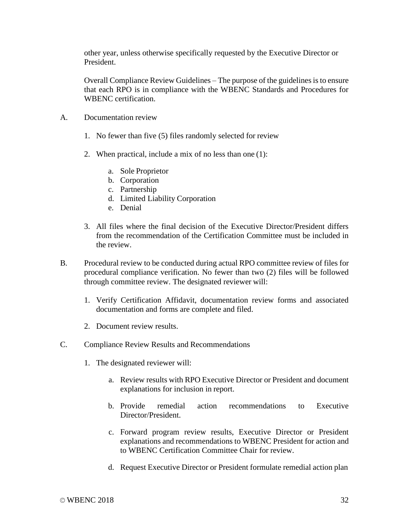other year, unless otherwise specifically requested by the Executive Director or President.

Overall Compliance Review Guidelines – The purpose of the guidelines is to ensure that each RPO is in compliance with the WBENC Standards and Procedures for WBENC certification.

- A. Documentation review
	- 1. No fewer than five (5) files randomly selected for review
	- 2. When practical, include a mix of no less than one (1):
		- a. Sole Proprietor
		- b. Corporation
		- c. Partnership
		- d. Limited Liability Corporation
		- e. Denial
	- 3. All files where the final decision of the Executive Director/President differs from the recommendation of the Certification Committee must be included in the review.
- B. Procedural review to be conducted during actual RPO committee review of files for procedural compliance verification. No fewer than two (2) files will be followed through committee review. The designated reviewer will:
	- 1. Verify Certification Affidavit, documentation review forms and associated documentation and forms are complete and filed.
	- 2. Document review results.
- C. Compliance Review Results and Recommendations
	- 1. The designated reviewer will:
		- a. Review results with RPO Executive Director or President and document explanations for inclusion in report.
		- b. Provide remedial action recommendations to Executive Director/President.
		- c. Forward program review results, Executive Director or President explanations and recommendations to WBENC President for action and to WBENC Certification Committee Chair for review.
		- d. Request Executive Director or President formulate remedial action plan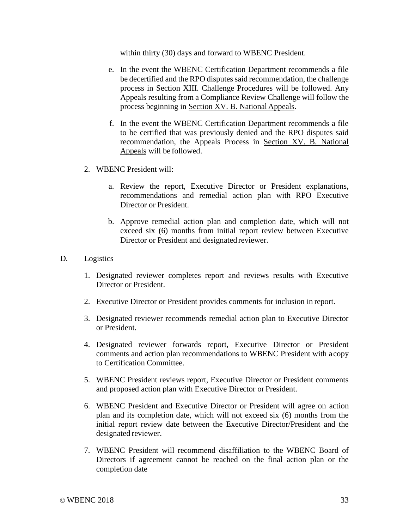within thirty (30) days and forward to WBENC President.

- e. In the event the WBENC Certification Department recommends a file be decertified and the RPO disputes said recommendation, the challenge process in Section XIII. Challenge Procedures will be followed. Any Appeals resulting from a Compliance Review Challenge will follow the process beginning in Section XV. B. National Appeals.
- f. In the event the WBENC Certification Department recommends a file to be certified that was previously denied and the RPO disputes said recommendation, the Appeals Process in Section XV. B. National Appeals will be followed.
- 2. WBENC President will:
	- a. Review the report, Executive Director or President explanations, recommendations and remedial action plan with RPO Executive Director or President.
	- b. Approve remedial action plan and completion date, which will not exceed six (6) months from initial report review between Executive Director or President and designated reviewer.

#### D. Logistics

- 1. Designated reviewer completes report and reviews results with Executive Director or President.
- 2. Executive Director or President provides comments for inclusion in report.
- 3. Designated reviewer recommends remedial action plan to Executive Director or President.
- 4. Designated reviewer forwards report, Executive Director or President comments and action plan recommendations to WBENC President with acopy to Certification Committee.
- 5. WBENC President reviews report, Executive Director or President comments and proposed action plan with Executive Director or President.
- 6. WBENC President and Executive Director or President will agree on action plan and its completion date, which will not exceed six (6) months from the initial report review date between the Executive Director/President and the designated reviewer.
- 7. WBENC President will recommend disaffiliation to the WBENC Board of Directors if agreement cannot be reached on the final action plan or the completion date